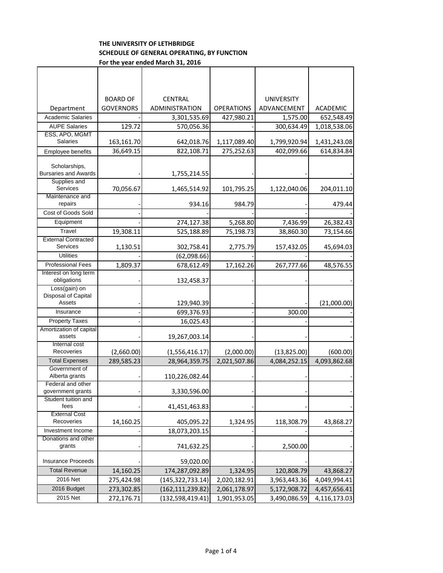## **THE UNIVERSITY OF LETHBRIDGE SCHEDULE OF GENERAL OPERATING, BY FUNCTION For the year ended March 31, 2016**

|                                          | <b>BOARD OF</b>  | <b>CENTRAL</b>   |                   | <b>UNIVERSITY</b> |              |
|------------------------------------------|------------------|------------------|-------------------|-------------------|--------------|
| Department                               | <b>GOVERNORS</b> | ADMINISTRATION   | <b>OPERATIONS</b> | ADVANCEMENT       | ACADEMIC     |
| <b>Academic Salaries</b>                 |                  | 3,301,535.69     | 427,980.21        | 1,575.00          | 652,548.49   |
| <b>AUPE Salaries</b>                     | 129.72           | 570,056.36       |                   | 300,634.49        | 1,018,538.06 |
| ESS, APO, MGMT                           |                  |                  |                   |                   |              |
| <b>Salaries</b>                          | 163,161.70       | 642,018.76       | 1,117,089.40      | 1,799,920.94      | 1,431,243.08 |
| Employee benefits                        | 36,649.15        | 822,108.71       | 275,252.63        | 402,099.66        | 614,834.84   |
| Scholarships,                            |                  |                  |                   |                   |              |
| <b>Bursaries and Awards</b>              |                  | 1,755,214.55     |                   |                   |              |
| Supplies and                             |                  |                  |                   |                   |              |
| Services                                 | 70,056.67        | 1,465,514.92     | 101,795.25        | 1,122,040.06      | 204,011.10   |
| Maintenance and                          |                  |                  |                   |                   |              |
| repairs                                  |                  | 934.16           | 984.79            |                   | 479.44       |
| Cost of Goods Sold                       |                  |                  |                   |                   |              |
| Equipment                                |                  | 274,127.38       | 5,268.80          | 7,436.99          | 26,382.43    |
| Travel                                   | 19,308.11        | 525,188.89       | 75,198.73         | 38,860.30         | 73,154.66    |
| <b>External Contracted</b>               |                  |                  |                   |                   |              |
| <b>Services</b>                          | 1,130.51         | 302,758.41       | 2,775.79          | 157,432.05        | 45,694.03    |
| <b>Utilities</b>                         |                  | (62,098.66)      |                   |                   |              |
| <b>Professional Fees</b>                 | 1,809.37         | 678,612.49       | 17,162.26         | 267,777.66        | 48,576.55    |
| Interest on long term                    |                  |                  |                   |                   |              |
| obligations                              |                  | 132,458.37       |                   |                   |              |
| Loss(gain) on<br>Disposal of Capital     |                  |                  |                   |                   |              |
| Assets                                   |                  | 129,940.39       |                   |                   | (21,000.00)  |
| Insurance                                |                  | 699,376.93       |                   | 300.00            |              |
| <b>Property Taxes</b>                    |                  | 16,025.43        |                   |                   |              |
| Amortization of capital                  |                  |                  |                   |                   |              |
| assets                                   |                  | 19,267,003.14    |                   |                   |              |
| Internal cost                            |                  |                  |                   |                   |              |
| Recoveries                               | (2,660.00)       | (1,556,416.17)   | (2,000.00)        | (13,825.00)       | (600.00)     |
| <b>Total Expenses</b>                    | 289,585.23       | 28,964,359.75    | 2,021,507.86      | 4,084,252.15      | 4,093,862.68 |
| Government of                            |                  |                  |                   |                   |              |
| Alberta grants                           |                  | 110,226,082.44   |                   |                   |              |
| Federal and other                        |                  |                  |                   |                   |              |
| government grants<br>Student tuition and |                  | 3,330,596.00     |                   |                   |              |
| fees                                     |                  | 41,451,463.83    |                   |                   |              |
| <b>External Cost</b>                     |                  |                  |                   |                   |              |
| Recoveries                               | 14,160.25        | 405,095.22       | 1,324.95          | 118,308.79        | 43,868.27    |
| Investment Income                        |                  | 18,073,203.15    |                   |                   |              |
| Donations and other                      |                  |                  |                   |                   |              |
| grants                                   |                  | 741,632.25       |                   | 2,500.00          |              |
| <b>Insurance Proceeds</b>                |                  | 59,020.00        |                   |                   |              |
| <b>Total Revenue</b>                     | 14,160.25        | 174,287,092.89   | 1,324.95          | 120,808.79        | 43,868.27    |
| 2016 Net                                 | 275,424.98       | (145,322,733.14) | 2,020,182.91      | 3,963,443.36      | 4,049,994.41 |
| 2016 Budget                              |                  |                  |                   |                   |              |
|                                          | 273,302.85       | (162,111,239.82) | 2,061,178.97      | 5,172,908.72      | 4,457,656.41 |
| 2015 Net                                 | 272,176.71       | (132,598,419.41) | 1,901,953.05      | 3,490,086.59      | 4,116,173.03 |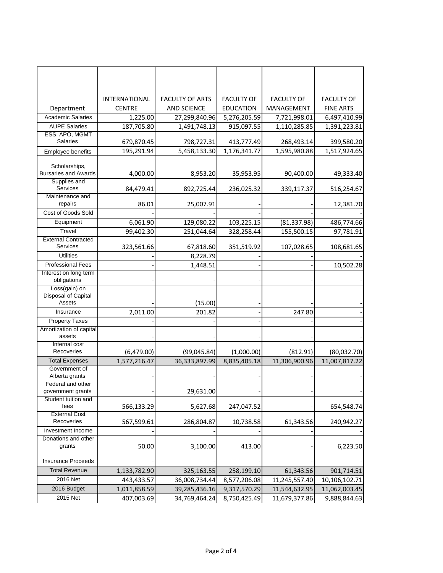|                                                | <b>INTERNATIONAL</b> | <b>FACULTY OF ARTS</b> | <b>FACULTY OF</b> | <b>FACULTY OF</b> | <b>FACULTY OF</b> |
|------------------------------------------------|----------------------|------------------------|-------------------|-------------------|-------------------|
| Department                                     | <b>CENTRE</b>        | <b>AND SCIENCE</b>     | <b>EDUCATION</b>  | MANAGEMENT        | <b>FINE ARTS</b>  |
| <b>Academic Salaries</b>                       | 1,225.00             | 27,299,840.96          | 5,276,205.59      | 7,721,998.01      | 6,497,410.99      |
| <b>AUPE Salaries</b>                           | 187,705.80           | 1,491,748.13           | 915,097.55        | 1,110,285.85      | 1,391,223.81      |
| ESS, APO, MGMT                                 |                      |                        |                   |                   |                   |
| <b>Salaries</b>                                | 679,870.45           | 798,727.31             | 413,777.49        | 268,493.14        | 399,580.20        |
| Employee benefits                              | 195,291.94           | 5,458,133.30           | 1,176,341.77      | 1,595,980.88      | 1,517,924.65      |
| Scholarships,<br><b>Bursaries and Awards</b>   | 4,000.00             | 8,953.20               | 35,953.95         | 90,400.00         | 49,333.40         |
| Supplies and<br>Services                       | 84,479.41            | 892,725.44             | 236,025.32        | 339,117.37        | 516,254.67        |
| Maintenance and<br>repairs                     | 86.01                | 25,007.91              |                   |                   | 12,381.70         |
| Cost of Goods Sold                             |                      |                        |                   |                   |                   |
| Equipment                                      | 6,061.90             | 129,080.22             | 103,225.15        | (81, 337.98)      | 486,774.66        |
| Travel                                         | 99,402.30            | 251,044.64             | 328,258.44        | 155,500.15        | 97,781.91         |
| <b>External Contracted</b><br><b>Services</b>  | 323,561.66           | 67,818.60              | 351,519.92        | 107,028.65        | 108,681.65        |
| <b>Utilities</b>                               |                      | 8,228.79               |                   |                   |                   |
| <b>Professional Fees</b>                       |                      | 1,448.51               |                   |                   | 10,502.28         |
| Interest on long term<br>obligations           |                      |                        |                   |                   |                   |
| Loss(gain) on<br>Disposal of Capital<br>Assets |                      | (15.00)                |                   |                   |                   |
| Insurance                                      | 2,011.00             | 201.82                 |                   | 247.80            |                   |
| <b>Property Taxes</b>                          |                      |                        |                   |                   |                   |
| Amortization of capital                        |                      |                        |                   |                   |                   |
| assets<br>Internal cost                        |                      |                        |                   |                   |                   |
| Recoveries                                     | (6,479.00)           | (99,045.84)            | (1,000.00)        | (812.91)          | (80,032.70)       |
| <b>Total Expenses</b>                          | 1,577,216.47         | 36,333,897.99          | 8,835,405.18      | 11,306,900.96     | 11,007,817.22     |
| Government of<br>Alberta grants                |                      |                        |                   |                   |                   |
| Federal and other                              |                      |                        |                   |                   |                   |
| government grants                              |                      | 29,631.00              |                   |                   |                   |
| Student tuition and<br>fees                    | 566,133.29           | 5,627.68               | 247,047.52        |                   | 654,548.74        |
| <b>External Cost</b><br>Recoveries             | 567,599.61           | 286,804.87             | 10,738.58         | 61,343.56         | 240,942.27        |
| Investment Income                              |                      |                        |                   |                   |                   |
| Donations and other                            |                      |                        |                   |                   |                   |
| grants                                         | 50.00                | 3,100.00               | 413.00            |                   | 6,223.50          |
| <b>Insurance Proceeds</b>                      |                      |                        |                   |                   |                   |
| <b>Total Revenue</b>                           | 1,133,782.90         | 325,163.55             | 258,199.10        | 61,343.56         | 901,714.51        |
| 2016 Net                                       | 443,433.57           | 36,008,734.44          | 8,577,206.08      | 11,245,557.40     | 10,106,102.71     |
| 2016 Budget                                    | 1,011,858.59         | 39,285,436.16          | 9,317,570.29      | 11,544,632.95     | 11,062,003.45     |
| 2015 Net                                       | 407,003.69           | 34,769,464.24          | 8,750,425.49      | 11,679,377.86     | 9,888,844.63      |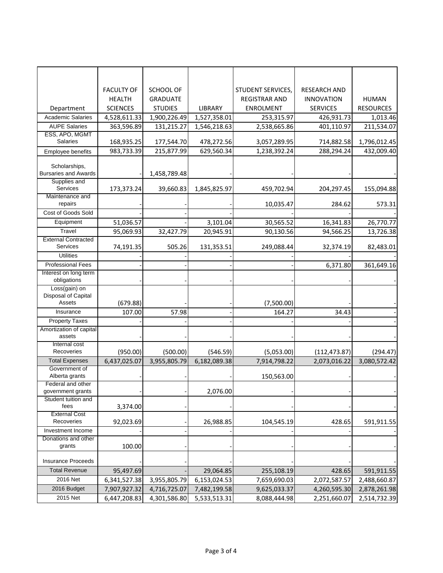|                                          | <b>FACULTY OF</b> | SCHOOL OF       |              | STUDENT SERVICES,    | <b>RESEARCH AND</b> |                  |
|------------------------------------------|-------------------|-----------------|--------------|----------------------|---------------------|------------------|
|                                          | <b>HEALTH</b>     | <b>GRADUATE</b> |              | <b>REGISTRAR AND</b> | <b>INNOVATION</b>   | <b>HUMAN</b>     |
| Department                               | <b>SCIENCES</b>   | <b>STUDIES</b>  | LIBRARY      | <b>ENROLMENT</b>     | <b>SERVICES</b>     | <b>RESOURCES</b> |
| <b>Academic Salaries</b>                 | 4,528,611.33      | 1,900,226.49    | 1,527,358.01 | 253,315.97           | 426,931.73          | 1,013.46         |
| <b>AUPE Salaries</b>                     | 363,596.89        | 131,215.27      | 1,546,218.63 | 2,538,665.86         | 401,110.97          | 211,534.07       |
| ESS, APO, MGMT                           |                   |                 |              |                      |                     |                  |
| <b>Salaries</b>                          | 168,935.25        | 177,544.70      | 478,272.56   | 3,057,289.95         | 714,882.58          | 1,796,012.45     |
| Employee benefits                        | 983,733.39        | 215,877.99      | 629,560.34   | 1,238,392.24         | 288,294.24          | 432,009.40       |
| Scholarships,                            |                   |                 |              |                      |                     |                  |
| <b>Bursaries and Awards</b>              |                   | 1,458,789.48    |              |                      |                     |                  |
| Supplies and                             |                   |                 |              |                      |                     |                  |
| Services<br>Maintenance and              | 173,373.24        | 39,660.83       | 1,845,825.97 | 459,702.94           | 204,297.45          | 155,094.88       |
| repairs                                  |                   |                 |              | 10,035.47            | 284.62              | 573.31           |
| Cost of Goods Sold                       |                   |                 |              |                      |                     |                  |
| Equipment                                | 51,036.57         |                 | 3,101.04     | 30,565.52            | 16,341.83           | 26,770.77        |
| Travel                                   | 95,069.93         | 32,427.79       | 20,945.91    | 90,130.56            | 94,566.25           | 13,726.38        |
| <b>External Contracted</b>               |                   |                 |              |                      |                     |                  |
| Services                                 | 74,191.35         | 505.26          | 131,353.51   | 249,088.44           | 32,374.19           | 82,483.01        |
| <b>Utilities</b>                         |                   |                 |              |                      |                     |                  |
| <b>Professional Fees</b>                 |                   |                 |              |                      | 6,371.80            | 361,649.16       |
| Interest on long term                    |                   |                 |              |                      |                     |                  |
| obligations                              |                   |                 |              |                      |                     |                  |
| Loss(gain) on<br>Disposal of Capital     |                   |                 |              |                      |                     |                  |
| Assets                                   | (679.88)          |                 |              | (7,500.00)           |                     |                  |
| Insurance                                | 107.00            | 57.98           |              | 164.27               | 34.43               |                  |
| <b>Property Taxes</b>                    |                   |                 |              |                      |                     |                  |
| Amortization of capital                  |                   |                 |              |                      |                     |                  |
| assets                                   |                   |                 |              |                      |                     |                  |
| Internal cost                            |                   |                 |              |                      |                     |                  |
| Recoveries                               | (950.00)          | (500.00)        | (546.59)     | (5,053.00)           | (112, 473.87)       | (294.47)         |
| <b>Total Expenses</b>                    | 6,437,025.07      | 3,955,805.79    | 6,182,089.38 | 7,914,798.22         | 2,073,016.22        | 3,080,572.42     |
| Government of<br>Alberta grants          |                   |                 |              | 150,563.00           |                     |                  |
| Federal and other<br>government grants   |                   |                 |              |                      |                     |                  |
| Student tuition and                      |                   |                 | 2,076.00     |                      |                     |                  |
| fees                                     | 3,374.00          |                 |              |                      |                     |                  |
| <b>External Cost</b>                     |                   |                 |              |                      |                     |                  |
| Recoveries                               | 92,023.69         |                 | 26,988.85    | 104,545.19           | 428.65              | 591,911.55       |
| Investment Income<br>Donations and other |                   |                 |              |                      |                     |                  |
| grants                                   | 100.00            |                 |              |                      |                     |                  |
| <b>Insurance Proceeds</b>                |                   |                 |              |                      |                     |                  |
| <b>Total Revenue</b>                     | 95,497.69         |                 | 29,064.85    | 255,108.19           | 428.65              | 591,911.55       |
| 2016 Net                                 | 6,341,527.38      | 3,955,805.79    | 6,153,024.53 | 7,659,690.03         | 2,072,587.57        | 2,488,660.87     |
| 2016 Budget                              | 7,907,927.32      | 4,716,725.07    | 7,482,199.58 | 9,625,033.37         | 4,260,595.30        | 2,878,261.98     |
| 2015 Net                                 | 6,447,208.83      | 4,301,586.80    | 5,533,513.31 | 8,088,444.98         | 2,251,660.07        | 2,514,732.39     |
|                                          |                   |                 |              |                      |                     |                  |